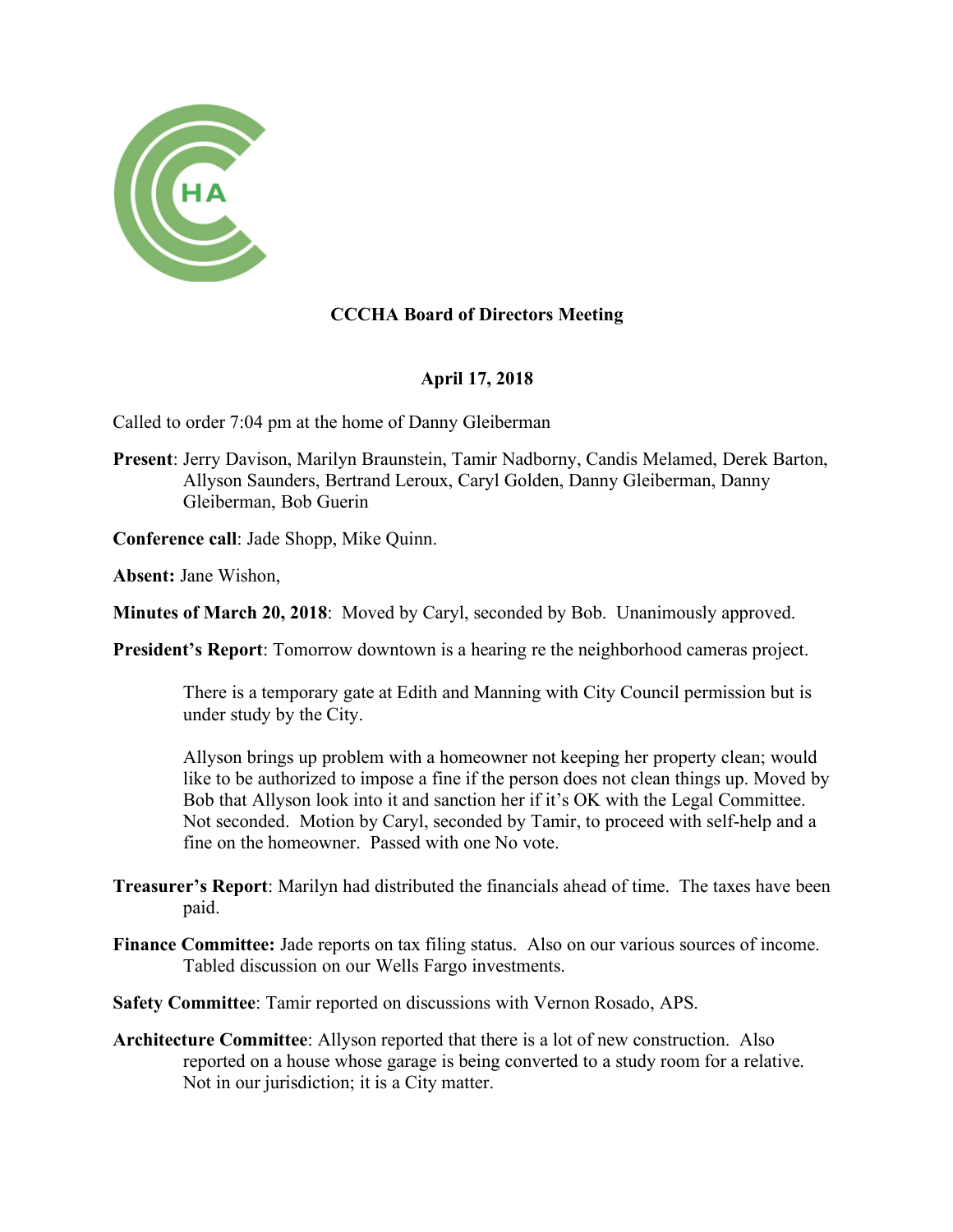

## **CCCHA Board of Directors Meeting**

## **April 17, 2018**

Called to order 7:04 pm at the home of Danny Gleiberman

**Present**: Jerry Davison, Marilyn Braunstein, Tamir Nadborny, Candis Melamed, Derek Barton, Allyson Saunders, Bertrand Leroux, Caryl Golden, Danny Gleiberman, Danny Gleiberman, Bob Guerin

**Conference call**: Jade Shopp, Mike Quinn.

**Absent:** Jane Wishon,

**Minutes of March 20, 2018**: Moved by Caryl, seconded by Bob. Unanimously approved.

**President's Report**: Tomorrow downtown is a hearing re the neighborhood cameras project.

There is a temporary gate at Edith and Manning with City Council permission but is under study by the City.

Allyson brings up problem with a homeowner not keeping her property clean; would like to be authorized to impose a fine if the person does not clean things up. Moved by Bob that Allyson look into it and sanction her if it's OK with the Legal Committee. Not seconded. Motion by Caryl, seconded by Tamir, to proceed with self-help and a fine on the homeowner. Passed with one No vote.

- **Treasurer's Report**: Marilyn had distributed the financials ahead of time. The taxes have been paid.
- **Finance Committee:** Jade reports on tax filing status. Also on our various sources of income. Tabled discussion on our Wells Fargo investments.
- **Safety Committee**: Tamir reported on discussions with Vernon Rosado, APS.
- **Architecture Committee**: Allyson reported that there is a lot of new construction. Also reported on a house whose garage is being converted to a study room for a relative. Not in our jurisdiction; it is a City matter.